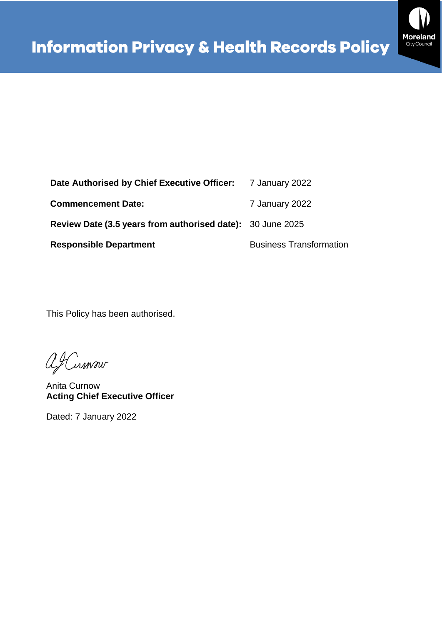

| Date Authorised by Chief Executive Officer: 7 January 2022 |                                |
|------------------------------------------------------------|--------------------------------|
| <b>Commencement Date:</b>                                  | 7 January 2022                 |
| Review Date (3.5 years from authorised date): 30 June 2025 |                                |
| <b>Responsible Department</b>                              | <b>Business Transformation</b> |

This Policy has been authorised.

afCumour

Anita Curnow **Acting Chief Executive Officer**

Dated: 7 January 2022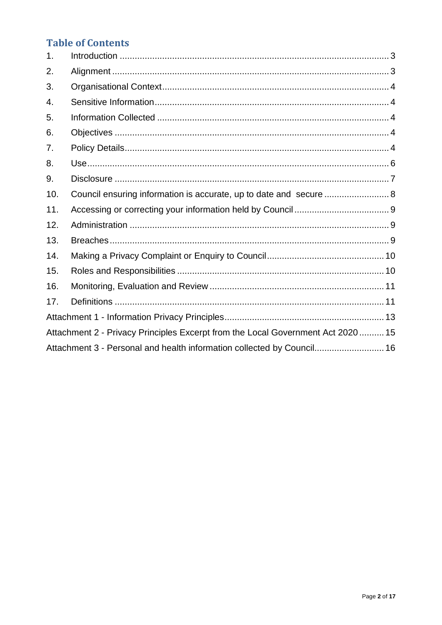### **Table of Contents**

| 1.  |                                                                                  |
|-----|----------------------------------------------------------------------------------|
| 2.  |                                                                                  |
| 3.  |                                                                                  |
| 4.  |                                                                                  |
| 5.  |                                                                                  |
| 6.  |                                                                                  |
| 7.  |                                                                                  |
| 8.  |                                                                                  |
| 9.  |                                                                                  |
| 10. | Council ensuring information is accurate, up to date and secure 8                |
| 11. |                                                                                  |
| 12. |                                                                                  |
| 13. |                                                                                  |
| 14. |                                                                                  |
| 15. |                                                                                  |
| 16. |                                                                                  |
| 17. |                                                                                  |
|     |                                                                                  |
|     | Attachment 2 - Privacy Principles Excerpt from the Local Government Act 2020  15 |
|     | Attachment 3 - Personal and health information collected by Council 16           |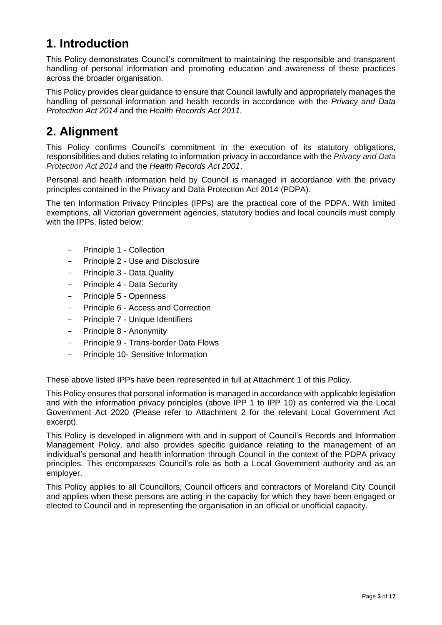# <span id="page-2-0"></span>**1. Introduction**

This Policy demonstrates Council's commitment to maintaining the responsible and transparent handling of personal information and promoting education and awareness of these practices across the broader organisation.

This Policy provides clear guidance to ensure that Council lawfully and appropriately manages the handling of personal information and health records in accordance with the *Privacy and Data Protection Act 2014* and the *Health Records Act 2011.*

# <span id="page-2-1"></span>**2. Alignment**

This Policy confirms Council's commitment in the execution of its statutory obligations, responsibilities and duties relating to information privacy in accordance with the *Privacy and Data Protection Act 2014* and the *Health Records Act 2001*.

Personal and health information held by Council is managed in accordance with the privacy principles contained in the Privacy and Data Protection Act 2014 (PDPA).

The ten Information Privacy Principles (IPPs) are the practical core of the PDPA. With limited exemptions, all Victorian government agencies, statutory bodies and local councils must comply with the IPPs, listed below:

- Principle 1 Collection
- Principle 2 Use and Disclosure
- Principle 3 Data Quality
- Principle 4 Data Security
- Principle 5 Openness
- Principle 6 Access and Correction
- Principle 7 Unique Identifiers
- Principle 8 Anonymity
- Principle 9 Trans-border Data Flows
- Principle 10- Sensitive Information

These above listed IPPs have been represented in full at Attachment 1 of this Policy.

This Policy ensures that personal information is managed in accordance with applicable legislation and with the information privacy principles (above IPP 1 to IPP 10) as conferred via the Local Government Act 2020 (Please refer to Attachment 2 for the relevant Local Government Act excerpt).

This Policy is developed in alignment with and in support of Council's Records and Information Management Policy, and also provides specific guidance relating to the management of an individual's personal and health information through Council in the context of the PDPA privacy principles. This encompasses Council's role as both a Local Government authority and as an employer.

This Policy applies to all Councillors, Council officers and contractors of Moreland City Council and applies when these persons are acting in the capacity for which they have been engaged or elected to Council and in representing the organisation in an official or unofficial capacity.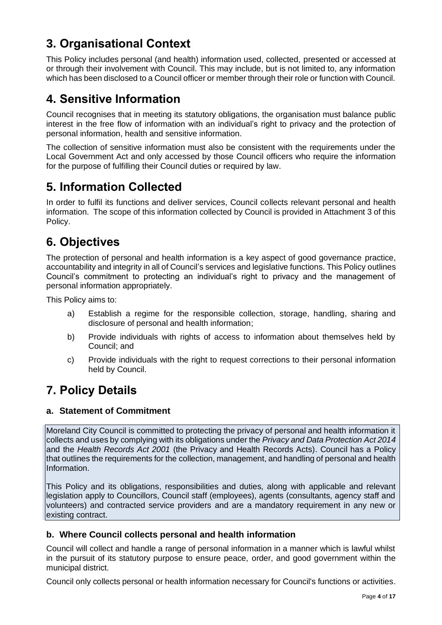# <span id="page-3-0"></span>**3. Organisational Context**

This Policy includes personal (and health) information used, collected, presented or accessed at or through their involvement with Council. This may include, but is not limited to, any information which has been disclosed to a Council officer or member through their role or function with Council.

## <span id="page-3-1"></span>**4. Sensitive Information**

Council recognises that in meeting its statutory obligations, the organisation must balance public interest in the free flow of information with an individual's right to privacy and the protection of personal information, health and sensitive information.

The collection of sensitive information must also be consistent with the requirements under the Local Government Act and only accessed by those Council officers who require the information for the purpose of fulfilling their Council duties or required by law.

# <span id="page-3-2"></span>**5. Information Collected**

In order to fulfil its functions and deliver services, Council collects relevant personal and health information. The scope of this information collected by Council is provided in Attachment 3 of this Policy.

# <span id="page-3-3"></span>**6. Objectives**

The protection of personal and health information is a key aspect of good governance practice, accountability and integrity in all of Council's services and legislative functions. This Policy outlines Council's commitment to protecting an individual's right to privacy and the management of personal information appropriately.

This Policy aims to:

- a) Establish a regime for the responsible collection, storage, handling, sharing and disclosure of personal and health information;
- b) Provide individuals with rights of access to information about themselves held by Council; and
- c) Provide individuals with the right to request corrections to their personal information held by Council.

## <span id="page-3-4"></span>**7. Policy Details**

### **a. Statement of Commitment**

Moreland City Council is committed to protecting the privacy of personal and health information it collects and uses by complying with its obligations under the *Privacy and Data Protection Act 2014* and the *Health Records Act 2001* (the Privacy and Health Records Acts). Council has a Policy that outlines the requirements for the collection, management, and handling of personal and health Information.

This Policy and its obligations, responsibilities and duties, along with applicable and relevant legislation apply to Councillors, Council staff (employees), agents (consultants, agency staff and volunteers) and contracted service providers and are a mandatory requirement in any new or existing contract.

### **b. Where Council collects personal and health information**

Council will collect and handle a range of personal information in a manner which is lawful whilst in the pursuit of its statutory purpose to ensure peace, order, and good government within the municipal district.

Council only collects personal or health information necessary for Council's functions or activities.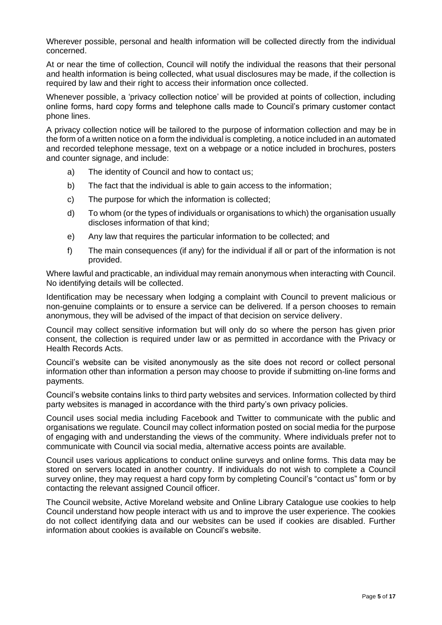Wherever possible, personal and health information will be collected directly from the individual concerned.

At or near the time of collection, Council will notify the individual the reasons that their personal and health information is being collected, what usual disclosures may be made, if the collection is required by law and their right to access their information once collected.

Whenever possible, a 'privacy collection notice' will be provided at points of collection, including online forms, hard copy forms and telephone calls made to Council's primary customer contact phone lines.

A privacy collection notice will be tailored to the purpose of information collection and may be in the form of a written notice on a form the individual is completing, a notice included in an automated and recorded telephone message, text on a webpage or a notice included in brochures, posters and counter signage, and include:

- a) The identity of Council and how to contact us;
- b) The fact that the individual is able to gain access to the information;
- c) The purpose for which the information is collected;
- d) To whom (or the types of individuals or organisations to which) the organisation usually discloses information of that kind;
- e) Any law that requires the particular information to be collected; and
- f) The main consequences (if any) for the individual if all or part of the information is not provided.

Where lawful and practicable, an individual may remain anonymous when interacting with Council. No identifying details will be collected.

Identification may be necessary when lodging a complaint with Council to prevent malicious or non-genuine complaints or to ensure a service can be delivered. If a person chooses to remain anonymous, they will be advised of the impact of that decision on service delivery.

Council may collect sensitive information but will only do so where the person has given prior consent, the collection is required under law or as permitted in accordance with the Privacy or Health Records Acts.

Council's website can be visited anonymously as the site does not record or collect personal information other than information a person may choose to provide if submitting on-line forms and payments.

Council's website contains links to third party websites and services. Information collected by third party websites is managed in accordance with the third party's own privacy policies.

Council uses social media including Facebook and Twitter to communicate with the public and organisations we regulate. Council may collect information posted on social media for the purpose of engaging with and understanding the views of the community. Where individuals prefer not to communicate with Council via social media, alternative access points are available.

Council uses various applications to conduct online surveys and online forms. This data may be stored on servers located in another country. If individuals do not wish to complete a Council survey online, they may request a hard copy form by completing Council's "contact us" form or by contacting the relevant assigned Council officer.

The Council website, Active Moreland website and Online Library Catalogue use cookies to help Council understand how people interact with us and to improve the user experience. The cookies do not collect identifying data and our websites can be used if cookies are disabled. Further information about cookies is available on Council's website.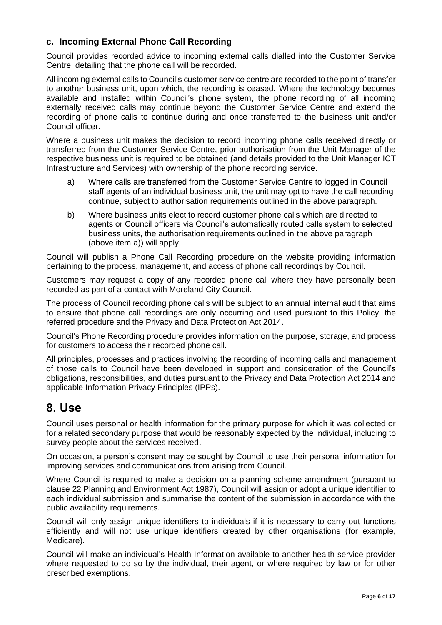### **c. Incoming External Phone Call Recording**

Council provides recorded advice to incoming external calls dialled into the Customer Service Centre, detailing that the phone call will be recorded.

All incoming external calls to Council's customer service centre are recorded to the point of transfer to another business unit, upon which, the recording is ceased. Where the technology becomes available and installed within Council's phone system, the phone recording of all incoming externally received calls may continue beyond the Customer Service Centre and extend the recording of phone calls to continue during and once transferred to the business unit and/or Council officer.

Where a business unit makes the decision to record incoming phone calls received directly or transferred from the Customer Service Centre, prior authorisation from the Unit Manager of the respective business unit is required to be obtained (and details provided to the Unit Manager ICT Infrastructure and Services) with ownership of the phone recording service.

- a) Where calls are transferred from the Customer Service Centre to logged in Council staff agents of an individual business unit, the unit may opt to have the call recording continue, subject to authorisation requirements outlined in the above paragraph.
- b) Where business units elect to record customer phone calls which are directed to agents or Council officers via Council's automatically routed calls system to selected business units, the authorisation requirements outlined in the above paragraph (above item a)) will apply.

Council will publish a Phone Call Recording procedure on the website providing information pertaining to the process, management, and access of phone call recordings by Council.

Customers may request a copy of any recorded phone call where they have personally been recorded as part of a contact with Moreland City Council.

The process of Council recording phone calls will be subject to an annual internal audit that aims to ensure that phone call recordings are only occurring and used pursuant to this Policy, the referred procedure and the Privacy and Data Protection Act 2014.

Council's Phone Recording procedure provides information on the purpose, storage, and process for customers to access their recorded phone call.

All principles, processes and practices involving the recording of incoming calls and management of those calls to Council have been developed in support and consideration of the Council's obligations, responsibilities, and duties pursuant to the Privacy and Data Protection Act 2014 and applicable Information Privacy Principles (IPPs).

## <span id="page-5-0"></span>**8. Use**

Council uses personal or health information for the primary purpose for which it was collected or for a related secondary purpose that would be reasonably expected by the individual, including to survey people about the services received.

On occasion, a person's consent may be sought by Council to use their personal information for improving services and communications from arising from Council.

Where Council is required to make a decision on a planning scheme amendment (pursuant to clause 22 Planning and Environment Act 1987), Council will assign or adopt a unique identifier to each individual submission and summarise the content of the submission in accordance with the public availability requirements.

Council will only assign unique identifiers to individuals if it is necessary to carry out functions efficiently and will not use unique identifiers created by other organisations (for example, Medicare).

Council will make an individual's Health Information available to another health service provider where requested to do so by the individual, their agent, or where required by law or for other prescribed exemptions.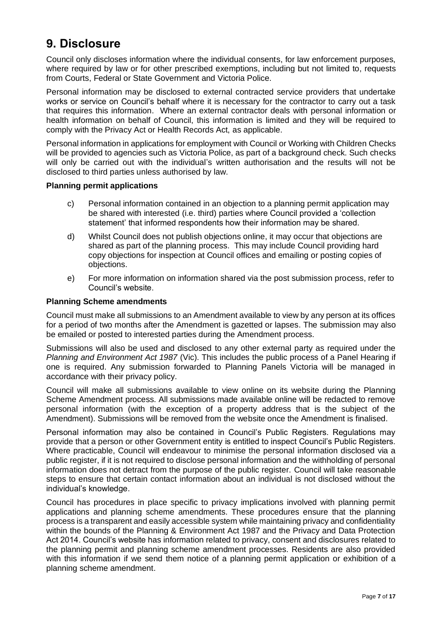# <span id="page-6-0"></span>**9. Disclosure**

Council only discloses information where the individual consents, for law enforcement purposes, where required by law or for other prescribed exemptions, including but not limited to, requests from Courts, Federal or State Government and Victoria Police.

Personal information may be disclosed to external contracted service providers that undertake works or service on Council's behalf where it is necessary for the contractor to carry out a task that requires this information. Where an external contractor deals with personal information or health information on behalf of Council, this information is limited and they will be required to comply with the Privacy Act or Health Records Act, as applicable.

Personal information in applications for employment with Council or Working with Children Checks will be provided to agencies such as Victoria Police, as part of a background check. Such checks will only be carried out with the individual's written authorisation and the results will not be disclosed to third parties unless authorised by law.

#### **Planning permit applications**

- c) Personal information contained in an objection to a planning permit application may be shared with interested (i.e. third) parties where Council provided a 'collection statement' that informed respondents how their information may be shared.
- d) Whilst Council does not publish objections online, it may occur that objections are shared as part of the planning process. This may include Council providing hard copy objections for inspection at Council offices and emailing or posting copies of objections.
- e) For more information on information shared via the post submission process, refer to Council's website.

#### **Planning Scheme amendments**

Council must make all submissions to an Amendment available to view by any person at its offices for a period of two months after the Amendment is gazetted or lapses. The submission may also be emailed or posted to interested parties during the Amendment process.

Submissions will also be used and disclosed to any other external party as required under the *Planning and Environment Act 1987* (Vic). This includes the public process of a Panel Hearing if one is required. Any submission forwarded to Planning Panels Victoria will be managed in accordance with their privacy policy.

Council will make all submissions available to view online on its website during the Planning Scheme Amendment process. All submissions made available online will be redacted to remove personal information (with the exception of a property address that is the subject of the Amendment). Submissions will be removed from the website once the Amendment is finalised.

Personal information may also be contained in Council's Public Registers. Regulations may provide that a person or other Government entity is entitled to inspect Council's Public Registers. Where practicable, Council will endeavour to minimise the personal information disclosed via a public register, if it is not required to disclose personal information and the withholding of personal information does not detract from the purpose of the public register. Council will take reasonable steps to ensure that certain contact information about an individual is not disclosed without the individual's knowledge.

Council has procedures in place specific to privacy implications involved with planning permit applications and planning scheme amendments. These procedures ensure that the planning process is a transparent and easily accessible system while maintaining privacy and confidentiality within the bounds of the Planning & Environment Act 1987 and the Privacy and Data Protection Act 2014. Council's website has information related to privacy, consent and disclosures related to the planning permit and planning scheme amendment processes. Residents are also provided with this information if we send them notice of a planning permit application or exhibition of a planning scheme amendment.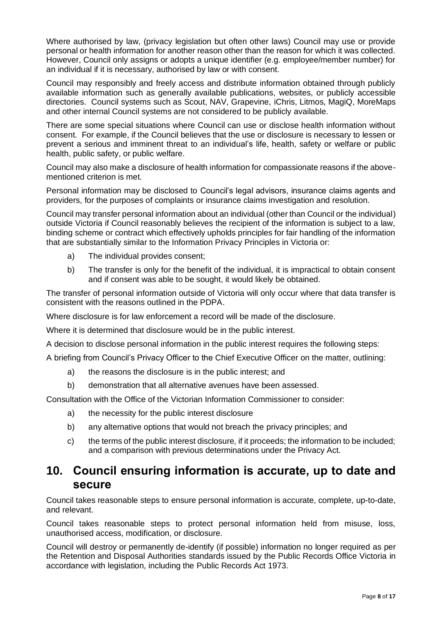Where authorised by law, (privacy legislation but often other laws) Council may use or provide personal or health information for another reason other than the reason for which it was collected. However, Council only assigns or adopts a unique identifier (e.g. employee/member number) for an individual if it is necessary, authorised by law or with consent.

Council may responsibly and freely access and distribute information obtained through publicly available information such as generally available publications, websites, or publicly accessible directories. Council systems such as Scout, NAV, Grapevine, iChris, Litmos, MagiQ, MoreMaps and other internal Council systems are not considered to be publicly available.

There are some special situations where Council can use or disclose health information without consent. For example, if the Council believes that the use or disclosure is necessary to lessen or prevent a serious and imminent threat to an individual's life, health, safety or welfare or public health, public safety, or public welfare.

Council may also make a disclosure of health information for compassionate reasons if the abovementioned criterion is met.

Personal information may be disclosed to Council's legal advisors, insurance claims agents and providers, for the purposes of complaints or insurance claims investigation and resolution.

Council may transfer personal information about an individual (other than Council or the individual) outside Victoria if Council reasonably believes the recipient of the information is subject to a law, binding scheme or contract which effectively upholds principles for fair handling of the information that are substantially similar to the Information Privacy Principles in Victoria or:

- a) The individual provides consent;
- b) The transfer is only for the benefit of the individual, it is impractical to obtain consent and if consent was able to be sought, it would likely be obtained.

The transfer of personal information outside of Victoria will only occur where that data transfer is consistent with the reasons outlined in the PDPA.

Where disclosure is for law enforcement a record will be made of the disclosure.

Where it is determined that disclosure would be in the public interest.

A decision to disclose personal information in the public interest requires the following steps:

A briefing from Council's Privacy Officer to the Chief Executive Officer on the matter, outlining:

- a) the reasons the disclosure is in the public interest; and
- b) demonstration that all alternative avenues have been assessed.

Consultation with the Office of the Victorian Information Commissioner to consider:

- a) the necessity for the public interest disclosure
- b) any alternative options that would not breach the privacy principles; and
- c) the terms of the public interest disclosure, if it proceeds; the information to be included; and a comparison with previous determinations under the Privacy Act.

### <span id="page-7-0"></span>**10. Council ensuring information is accurate, up to date and secure**

Council takes reasonable steps to ensure personal information is accurate, complete, up-to-date, and relevant.

Council takes reasonable steps to protect personal information held from misuse, loss, unauthorised access, modification, or disclosure.

Council will destroy or permanently de-identify (if possible) information no longer required as per the Retention and Disposal Authorities standards issued by the Public Records Office Victoria in accordance with legislation, including the Public Records Act 1973.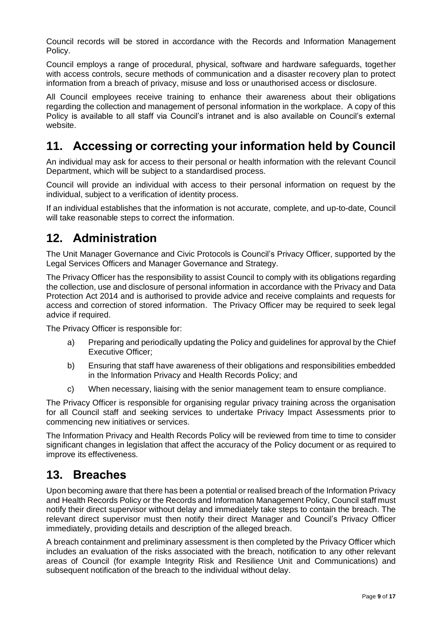Council records will be stored in accordance with the Records and Information Management Policy.

Council employs a range of procedural, physical, software and hardware safeguards, together with access controls, secure methods of communication and a disaster recovery plan to protect information from a breach of privacy, misuse and loss or unauthorised access or disclosure.

All Council employees receive training to enhance their awareness about their obligations regarding the collection and management of personal information in the workplace. A copy of this Policy is available to all staff via Council's intranet and is also available on Council's external website.

## <span id="page-8-0"></span>**11. Accessing or correcting your information held by Council**

An individual may ask for access to their personal or health information with the relevant Council Department, which will be subject to a standardised process.

Council will provide an individual with access to their personal information on request by the individual, subject to a verification of identity process.

If an individual establishes that the information is not accurate, complete, and up-to-date, Council will take reasonable steps to correct the information.

## <span id="page-8-1"></span>**12. Administration**

The Unit Manager Governance and Civic Protocols is Council's Privacy Officer, supported by the Legal Services Officers and Manager Governance and Strategy.

The Privacy Officer has the responsibility to assist Council to comply with its obligations regarding the collection, use and disclosure of personal information in accordance with the Privacy and Data Protection Act 2014 and is authorised to provide advice and receive complaints and requests for access and correction of stored information. The Privacy Officer may be required to seek legal advice if required.

The Privacy Officer is responsible for:

- a) Preparing and periodically updating the Policy and guidelines for approval by the Chief Executive Officer;
- b) Ensuring that staff have awareness of their obligations and responsibilities embedded in the Information Privacy and Health Records Policy; and
- c) When necessary, liaising with the senior management team to ensure compliance.

The Privacy Officer is responsible for organising regular privacy training across the organisation for all Council staff and seeking services to undertake Privacy Impact Assessments prior to commencing new initiatives or services.

The Information Privacy and Health Records Policy will be reviewed from time to time to consider significant changes in legislation that affect the accuracy of the Policy document or as required to improve its effectiveness.

## <span id="page-8-2"></span>**13. Breaches**

Upon becoming aware that there has been a potential or realised breach of the Information Privacy and Health Records Policy or the Records and Information Management Policy, Council staff must notify their direct supervisor without delay and immediately take steps to contain the breach. The relevant direct supervisor must then notify their direct Manager and Council's Privacy Officer immediately, providing details and description of the alleged breach.

A breach containment and preliminary assessment is then completed by the Privacy Officer which includes an evaluation of the risks associated with the breach, notification to any other relevant areas of Council (for example Integrity Risk and Resilience Unit and Communications) and subsequent notification of the breach to the individual without delay.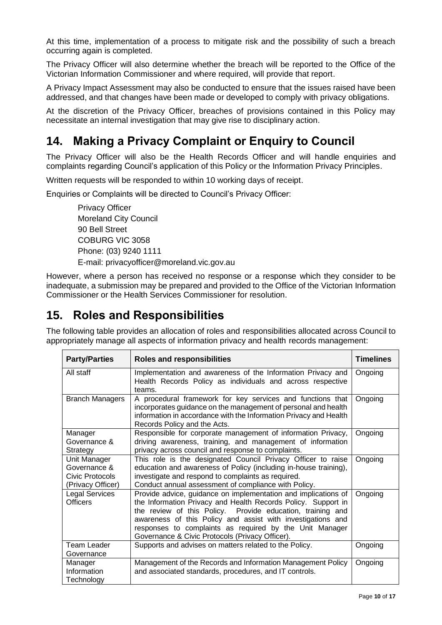At this time, implementation of a process to mitigate risk and the possibility of such a breach occurring again is completed.

The Privacy Officer will also determine whether the breach will be reported to the Office of the Victorian Information Commissioner and where required, will provide that report.

A Privacy Impact Assessment may also be conducted to ensure that the issues raised have been addressed, and that changes have been made or developed to comply with privacy obligations.

At the discretion of the Privacy Officer, breaches of provisions contained in this Policy may necessitate an internal investigation that may give rise to disciplinary action.

## <span id="page-9-0"></span>**14. Making a Privacy Complaint or Enquiry to Council**

The Privacy Officer will also be the Health Records Officer and will handle enquiries and complaints regarding Council's application of this Policy or the Information Privacy Principles.

Written requests will be responded to within 10 working days of receipt.

Enquiries or Complaints will be directed to Council's Privacy Officer:

Privacy Officer Moreland City Council 90 Bell Street COBURG VIC 3058 Phone: (03) 9240 1111 E-mail: [privacyofficer@moreland.vic.gov.au](mailto:privacyofficer@moreland.vic.gov.au)

However, where a person has received no response or a response which they consider to be inadequate, a submission may be prepared and provided to the Office of the Victorian Information Commissioner or the Health Services Commissioner for resolution.

## <span id="page-9-1"></span>**15. Roles and Responsibilities**

The following table provides an allocation of roles and responsibilities allocated across Council to appropriately manage all aspects of information privacy and health records management:

| <b>Party/Parties</b>                                                 | <b>Roles and responsibilities</b>                                                                                                                                                                                                                                                                                                                                          | <b>Timelines</b> |
|----------------------------------------------------------------------|----------------------------------------------------------------------------------------------------------------------------------------------------------------------------------------------------------------------------------------------------------------------------------------------------------------------------------------------------------------------------|------------------|
| All staff                                                            | Implementation and awareness of the Information Privacy and<br>Health Records Policy as individuals and across respective<br>teams.                                                                                                                                                                                                                                        | Ongoing          |
| <b>Branch Managers</b>                                               | A procedural framework for key services and functions that<br>incorporates guidance on the management of personal and health<br>information in accordance with the Information Privacy and Health<br>Records Policy and the Acts.                                                                                                                                          | Ongoing          |
| Manager<br>Governance &<br>Strategy                                  | Responsible for corporate management of information Privacy,<br>driving awareness, training, and management of information<br>privacy across council and response to complaints.                                                                                                                                                                                           | Ongoing          |
| Unit Manager<br>Governance &<br>Civic Protocols<br>(Privacy Officer) | This role is the designated Council Privacy Officer to raise<br>education and awareness of Policy (including in-house training),<br>investigate and respond to complaints as required.<br>Conduct annual assessment of compliance with Policy.                                                                                                                             | Ongoing          |
| Legal Services<br><b>Officers</b>                                    | Provide advice, guidance on implementation and implications of<br>the Information Privacy and Health Records Policy. Support in<br>the review of this Policy. Provide education, training and<br>awareness of this Policy and assist with investigations and<br>responses to complaints as required by the Unit Manager<br>Governance & Civic Protocols (Privacy Officer). | Ongoing          |
| Team Leader<br>Governance                                            | Supports and advises on matters related to the Policy.                                                                                                                                                                                                                                                                                                                     | Ongoing          |
| Manager<br>Information<br>Technology                                 | Management of the Records and Information Management Policy<br>and associated standards, procedures, and IT controls.                                                                                                                                                                                                                                                      | Ongoing          |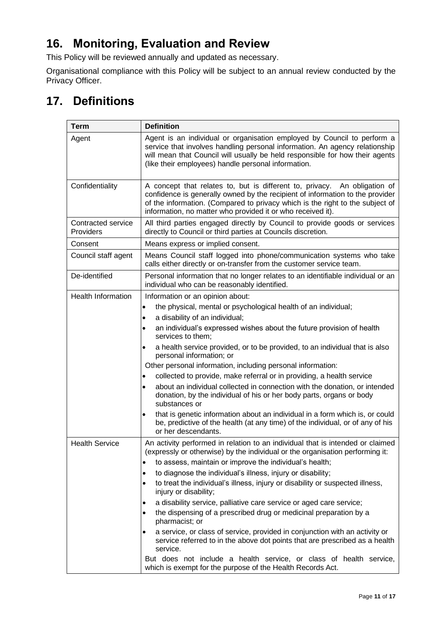# <span id="page-10-0"></span>**16. Monitoring, Evaluation and Review**

This Policy will be reviewed annually and updated as necessary.

Organisational compliance with this Policy will be subject to an annual review conducted by the Privacy Officer.

# <span id="page-10-1"></span>**17. Definitions**

| <b>Term</b>                     | <b>Definition</b>                                                                                                                                                                                                                                                                                          |  |
|---------------------------------|------------------------------------------------------------------------------------------------------------------------------------------------------------------------------------------------------------------------------------------------------------------------------------------------------------|--|
| Agent                           | Agent is an individual or organisation employed by Council to perform a<br>service that involves handling personal information. An agency relationship<br>will mean that Council will usually be held responsible for how their agents<br>(like their employees) handle personal information.              |  |
| Confidentiality                 | A concept that relates to, but is different to, privacy. An obligation of<br>confidence is generally owned by the recipient of information to the provider<br>of the information. (Compared to privacy which is the right to the subject of<br>information, no matter who provided it or who received it). |  |
| Contracted service<br>Providers | All third parties engaged directly by Council to provide goods or services<br>directly to Council or third parties at Councils discretion.                                                                                                                                                                 |  |
| Consent                         | Means express or implied consent.                                                                                                                                                                                                                                                                          |  |
| Council staff agent             | Means Council staff logged into phone/communication systems who take<br>calls either directly or on-transfer from the customer service team.                                                                                                                                                               |  |
| De-identified                   | Personal information that no longer relates to an identifiable individual or an<br>individual who can be reasonably identified.                                                                                                                                                                            |  |
| <b>Health Information</b>       | Information or an opinion about:                                                                                                                                                                                                                                                                           |  |
|                                 | the physical, mental or psychological health of an individual;<br>$\bullet$                                                                                                                                                                                                                                |  |
|                                 | a disability of an individual;<br>$\bullet$                                                                                                                                                                                                                                                                |  |
|                                 | an individual's expressed wishes about the future provision of health<br>services to them;                                                                                                                                                                                                                 |  |
|                                 | a health service provided, or to be provided, to an individual that is also<br>personal information; or                                                                                                                                                                                                    |  |
|                                 | Other personal information, including personal information:                                                                                                                                                                                                                                                |  |
|                                 | collected to provide, make referral or in providing, a health service                                                                                                                                                                                                                                      |  |
|                                 | about an individual collected in connection with the donation, or intended<br>donation, by the individual of his or her body parts, organs or body<br>substances or                                                                                                                                        |  |
|                                 | that is genetic information about an individual in a form which is, or could<br>٠<br>be, predictive of the health (at any time) of the individual, or of any of his<br>or her descendants.                                                                                                                 |  |
| <b>Health Service</b>           | An activity performed in relation to an individual that is intended or claimed<br>(expressly or otherwise) by the individual or the organisation performing it:                                                                                                                                            |  |
|                                 | to assess, maintain or improve the individual's health;<br>$\bullet$                                                                                                                                                                                                                                       |  |
|                                 | to diagnose the individual's illness, injury or disability;<br>٠                                                                                                                                                                                                                                           |  |
|                                 | to treat the individual's illness, injury or disability or suspected illness,<br>$\bullet$<br>injury or disability;                                                                                                                                                                                        |  |
|                                 | a disability service, palliative care service or aged care service;                                                                                                                                                                                                                                        |  |
|                                 | the dispensing of a prescribed drug or medicinal preparation by a<br>٠<br>pharmacist; or                                                                                                                                                                                                                   |  |
|                                 | a service, or class of service, provided in conjunction with an activity or<br>$\bullet$<br>service referred to in the above dot points that are prescribed as a health<br>service.                                                                                                                        |  |
|                                 | But does not include a health service, or class of health service,<br>which is exempt for the purpose of the Health Records Act.                                                                                                                                                                           |  |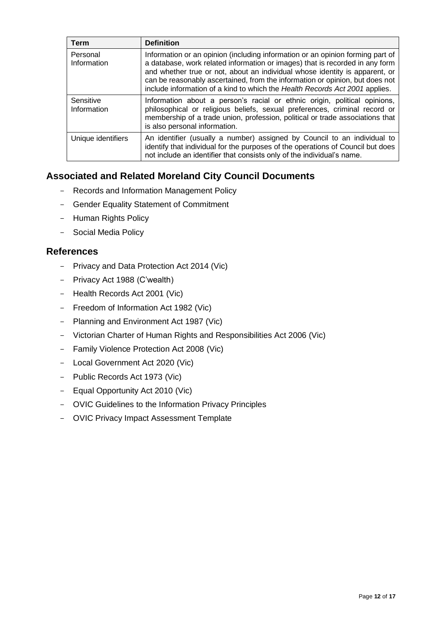| <b>Term</b>              | <b>Definition</b>                                                                                                                                                                                                                                                                                                                                                                                            |
|--------------------------|--------------------------------------------------------------------------------------------------------------------------------------------------------------------------------------------------------------------------------------------------------------------------------------------------------------------------------------------------------------------------------------------------------------|
| Personal<br>Information  | Information or an opinion (including information or an opinion forming part of<br>a database, work related information or images) that is recorded in any form<br>and whether true or not, about an individual whose identity is apparent, or<br>can be reasonably ascertained, from the information or opinion, but does not<br>include information of a kind to which the Health Records Act 2001 applies. |
| Sensitive<br>Information | Information about a person's racial or ethnic origin, political opinions,<br>philosophical or religious beliefs, sexual preferences, criminal record or<br>membership of a trade union, profession, political or trade associations that<br>is also personal information.                                                                                                                                    |
| Unique identifiers       | An identifier (usually a number) assigned by Council to an individual to<br>identify that individual for the purposes of the operations of Council but does<br>not include an identifier that consists only of the individual's name.                                                                                                                                                                        |

### **Associated and Related Moreland City Council Documents**

- Records and Information Management Policy
- Gender Equality Statement of Commitment
- Human Rights Policy
- Social Media Policy

### **References**

- Privacy and Data Protection Act 2014 (Vic)
- Privacy Act 1988 (C'wealth)
- Health Records Act 2001 (Vic)
- Freedom of Information Act 1982 (Vic)
- Planning and Environment Act 1987 (Vic)
- Victorian Charter of Human Rights and Responsibilities Act 2006 (Vic)
- Family Violence Protection Act 2008 (Vic)
- Local Government Act 2020 (Vic)
- Public Records Act 1973 (Vic)
- Equal Opportunity Act 2010 (Vic)
- OVIC Guidelines to the Information Privacy Principles
- OVIC Privacy Impact Assessment Template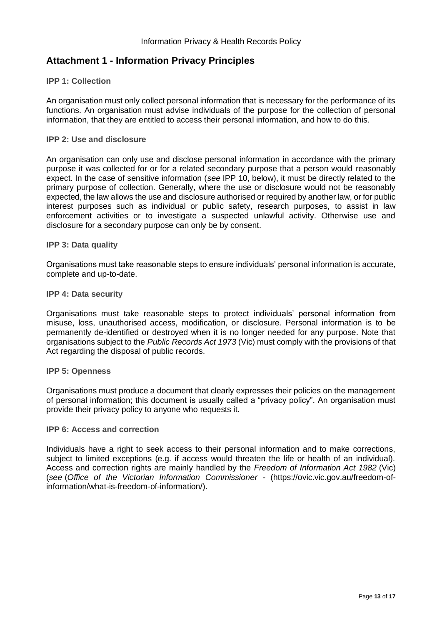### <span id="page-12-0"></span>**Attachment 1 - Information Privacy Principles**

#### **IPP 1: Collection**

An organisation must only collect personal information that is necessary for the performance of its functions. An organisation must advise individuals of the purpose for the collection of personal information, that they are entitled to access their personal information, and how to do this.

#### **IPP 2: Use and disclosure**

An organisation can only use and disclose personal information in accordance with the primary purpose it was collected for or for a related secondary purpose that a person would reasonably expect. In the case of sensitive information (*see* IPP 10, below), it must be directly related to the primary purpose of collection. Generally, where the use or disclosure would not be reasonably expected, the law allows the use and disclosure authorised or required by another law, or for public interest purposes such as individual or public safety, research purposes, to assist in law enforcement activities or to investigate a suspected unlawful activity. Otherwise use and disclosure for a secondary purpose can only be by consent.

#### **IPP 3: Data quality**

Organisations must take reasonable steps to ensure individuals' personal information is accurate, complete and up-to-date.

#### **IPP 4: Data security**

Organisations must take reasonable steps to protect individuals' personal information from misuse, loss, unauthorised access, modification, or disclosure. Personal information is to be permanently de-identified or destroyed when it is no longer needed for any purpose. Note that organisations subject to the *Public Records Act 1973* (Vic) must comply with the provisions of that Act regarding the disposal of public records.

#### **IPP 5: Openness**

Organisations must produce a document that clearly expresses their policies on the management of personal information; this document is usually called a "privacy policy". An organisation must provide their privacy policy to anyone who requests it.

#### **IPP 6: Access and correction**

Individuals have a right to seek access to their personal information and to make corrections, subject to limited exceptions (e.g. if access would threaten the life or health of an individual). Access and correction rights are mainly handled by the *Freedom of Information Act 1982* (Vic) (*see* (*Office of the Victorian Information Commissioner -* [\(https://ovic.vic.gov.au/freedom-of](https://ovic.vic.gov.au/freedom-of-information/what-is-freedom-of-information/)[information/what-is-freedom-of-information/\)](https://ovic.vic.gov.au/freedom-of-information/what-is-freedom-of-information/).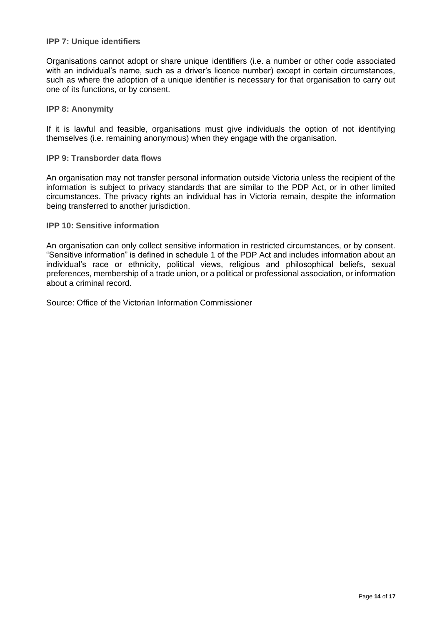#### **IPP 7: Unique identifiers**

Organisations cannot adopt or share unique identifiers (i.e. a number or other code associated with an individual's name, such as a driver's licence number) except in certain circumstances, such as where the adoption of a unique identifier is necessary for that organisation to carry out one of its functions, or by consent.

**IPP 8: Anonymity**

If it is lawful and feasible, organisations must give individuals the option of not identifying themselves (i.e. remaining anonymous) when they engage with the organisation.

#### **IPP 9: Transborder data flows**

An organisation may not transfer personal information outside Victoria unless the recipient of the information is subject to privacy standards that are similar to the PDP Act, or in other limited circumstances. The privacy rights an individual has in Victoria remain, despite the information being transferred to another jurisdiction.

**IPP 10: Sensitive information**

An organisation can only collect sensitive information in restricted circumstances, or by consent. "Sensitive information" is defined in schedule 1 of the PDP Act and includes information about an individual's race or ethnicity, political views, religious and philosophical beliefs, sexual preferences, membership of a trade union, or a political or professional association, or information about a criminal record.

Source: Office of the Victorian Information Commissioner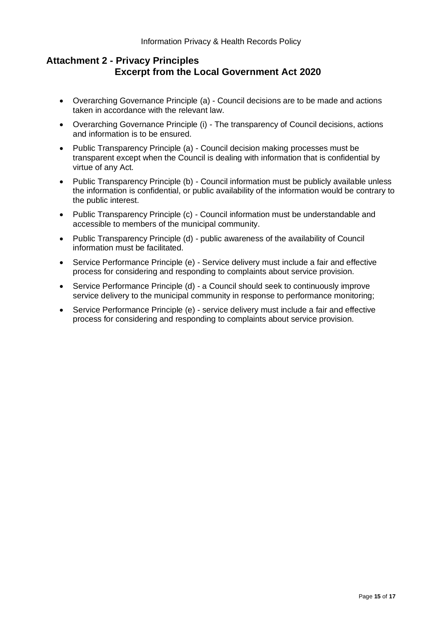### <span id="page-14-0"></span>**Attachment 2 - Privacy Principles Excerpt from the Local Government Act 2020**

- Overarching Governance Principle (a) Council decisions are to be made and actions taken in accordance with the relevant law.
- Overarching Governance Principle (i) The transparency of Council decisions, actions and information is to be ensured.
- Public Transparency Principle (a) Council decision making processes must be transparent except when the Council is dealing with information that is confidential by virtue of any Act.
- Public Transparency Principle (b) Council information must be publicly available unless the information is confidential, or public availability of the information would be contrary to the public interest.
- Public Transparency Principle (c) Council information must be understandable and accessible to members of the municipal community.
- Public Transparency Principle (d) public awareness of the availability of Council information must be facilitated.
- Service Performance Principle (e) Service delivery must include a fair and effective process for considering and responding to complaints about service provision.
- Service Performance Principle (d) a Council should seek to continuously improve service delivery to the municipal community in response to performance monitoring;
- Service Performance Principle (e) service delivery must include a fair and effective process for considering and responding to complaints about service provision.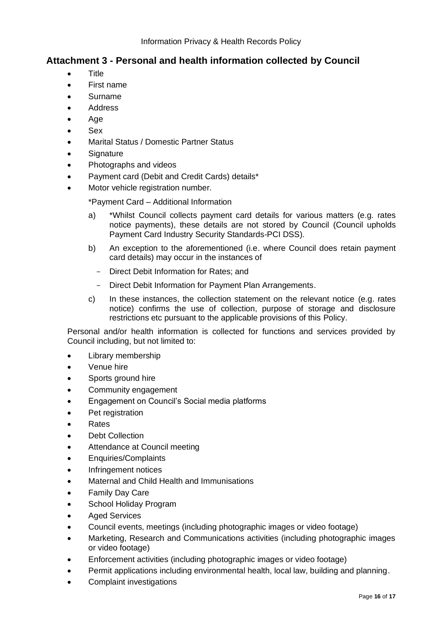### <span id="page-15-0"></span>**Attachment 3 - Personal and health information collected by Council**

- Title
- First name
- Surname
- **Address**
- Age
- Sex
- Marital Status / Domestic Partner Status
- **Signature**
- Photographs and videos
- Payment card (Debit and Credit Cards) details\*
- Motor vehicle registration number.

\*Payment Card – Additional Information

- a) \*Whilst Council collects payment card details for various matters (e.g. rates notice payments), these details are not stored by Council (Council upholds Payment Card Industry Security Standards-PCI DSS).
- b) An exception to the aforementioned (i.e. where Council does retain payment card details) may occur in the instances of
	- Direct Debit Information for Rates; and
	- Direct Debit Information for Payment Plan Arrangements.
- c) In these instances, the collection statement on the relevant notice (e.g. rates notice) confirms the use of collection, purpose of storage and disclosure restrictions etc pursuant to the applicable provisions of this Policy.

Personal and/or health information is collected for functions and services provided by Council including, but not limited to:

- Library membership
- Venue hire
- Sports ground hire
- Community engagement
- Engagement on Council's Social media platforms
- Pet registration
- Rates
- Debt Collection
- Attendance at Council meeting
- Enquiries/Complaints
- Infringement notices
- Maternal and Child Health and Immunisations
- **Family Day Care**
- School Holiday Program
- **Aged Services**
- Council events, meetings (including photographic images or video footage)
- Marketing, Research and Communications activities (including photographic images or video footage)
- Enforcement activities (including photographic images or video footage)
- Permit applications including environmental health, local law, building and planning.
- Complaint investigations